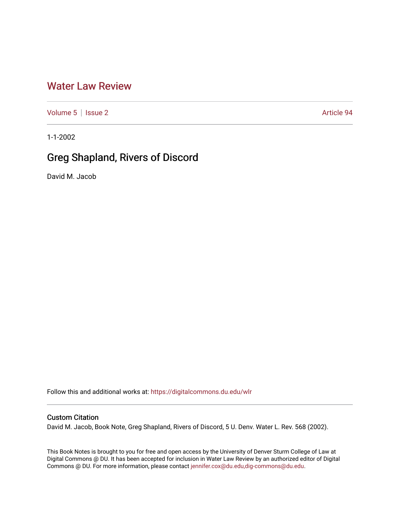## [Water Law Review](https://digitalcommons.du.edu/wlr)

[Volume 5](https://digitalcommons.du.edu/wlr/vol5) | [Issue 2](https://digitalcommons.du.edu/wlr/vol5/iss2) Article 94

1-1-2002

## Greg Shapland, Rivers of Discord

David M. Jacob

Follow this and additional works at: [https://digitalcommons.du.edu/wlr](https://digitalcommons.du.edu/wlr?utm_source=digitalcommons.du.edu%2Fwlr%2Fvol5%2Fiss2%2F94&utm_medium=PDF&utm_campaign=PDFCoverPages) 

## Custom Citation

David M. Jacob, Book Note, Greg Shapland, Rivers of Discord, 5 U. Denv. Water L. Rev. 568 (2002).

This Book Notes is brought to you for free and open access by the University of Denver Sturm College of Law at Digital Commons @ DU. It has been accepted for inclusion in Water Law Review by an authorized editor of Digital Commons @ DU. For more information, please contact [jennifer.cox@du.edu,dig-commons@du.edu.](mailto:jennifer.cox@du.edu,dig-commons@du.edu)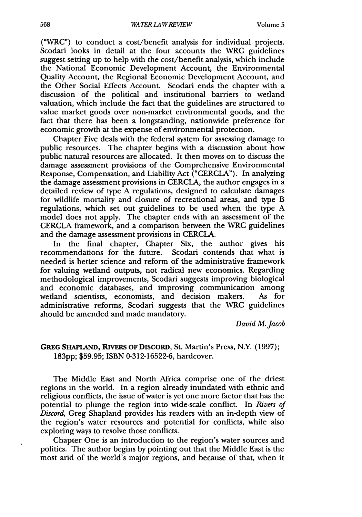("WRC") to conduct a cost/benefit analysis for individual projects. Scodari looks in detail at the four accounts the WRC guidelines suggest setting up to help with the cost/benefit analysis, which include the National Economic Development Account, the Environmental Quality Account, the Regional Economic Development Account, and the Other Social Effects Account. Scodari ends the chapter with a discussion of the political and institutional barriers to wetland valuation, which include the fact that the guidelines are structured to value market goods over non-market environmental goods, and the fact that there has been a longstanding, nationwide preference for economic growth at the expense of environmental protection.

Chapter Five deals with the federal system for assessing damage to public resources. The chapter begins with a discussion about how public natural resources are allocated. It then moves on to discuss the damage assessment provisions of the Comprehensive Environmental Response, Compensation, and Liability Act ("CERCLA"). In analyzing the damage assessment provisions in CERCLA, the author engages in a detailed review of type A regulations, designed to calculate damages for wildlife mortality and closure of recreational areas, and type B regulations, which set out guidelines to be used when the type A model does not apply. The chapter ends with an assessment of the CERCLA framework, and a comparison between the WRC guidelines and the damage assessment provisions in CERCLA.

In the final chapter, Chapter Six, the author gives his recommendations for the future. Scodari contends that what is needed is better science and reform of the administrative framework for valuing wetland outputs, not radical new economics. Regarding methodological improvements, Scodari suggests improving biological and economic databases, and improving communication among wetland scientists, economists, and decision makers. As for administrative reforms, Scodari suggests that the WRC guidelines should be amended and made mandatory.

*David M. Jacob*

## **GREG SHAPLAND,** RrVERS **OF** DISCORD, St. Martin's Press, N.Y. (1997); **183pp;** \$59.95; ISBN 0-312-16522-6, hardcover.

The Middle East and North Africa comprise one of the driest regions in the world. In a region already inundated with ethnic and religious conflicts, the issue of water is yet one more factor that has the potential to plunge the region into wide-scale conflict. In *Rivers of Discord,* Greg Shapland provides his readers with an in-depth view of the region's water resources and potential for conflicts, while also exploring ways to resolve those conflicts.

Chapter One is an introduction to the region's water sources and politics. The author begins by pointing out that the Middle East is the most arid of the world's major regions, and because of that, when it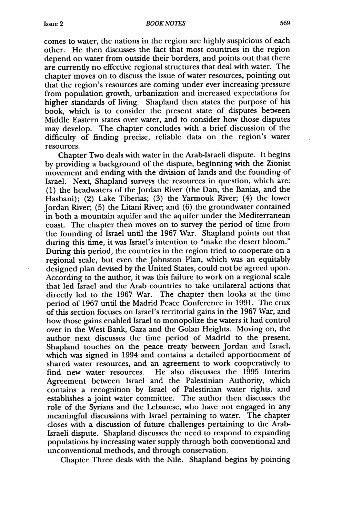comes to water, the nations in the region are highly suspicious of each other. He then discusses the fact that most countries in the region depend on water from outside their borders, and points out that there are currently no effective regional structures that deal with water. The chapter moves on to discuss the issue of water resources, pointing out that the region's resources are coming under ever increasing pressure from population growth, urbanization and increased expectations for higher standards of living. Shapland then states the purpose of his book, which is to consider the present state of disputes between Middle Eastern states over water, and to consider how those disputes may develop. The chapter concludes with a brief discussion of the difficulty of finding precise, reliable data on the region's water resources.

Chapter Two deals with water in the Arab-Israeli dispute. It begins by providing a background of the dispute, beginning with the Zionist movement and ending with the division of lands and the founding of Israel. Next, Shapland surveys the resources in question, which are: (1) the headwaters of the Jordan River (the Dan, the Banias, and the Hasbani); (2) Lake Tiberias; (3) the Yarmouk River; (4) the lower Jordan River; (5) the Litani River; and (6) the groundwater contained in both a mountain aquifer and the aquifer under the Mediterranean coast. The chapter then moves on to survey the period of time from the founding of Israel until the 1967 War. Shapland points out that during this time, it was Israel's intention to "make the desert bloom." During this period, the countries in the region tried to cooperate on a regional scale, but even the Johnston Plan, which was an equitably designed plan devised by the United States, could not be agreed upon. According to the author, it was this failure to work on a regional scale that led Israel and the Arab countries to take unilateral actions that directly led to the 1967 War. The chapter then looks at the time period of 1967 until the Madrid Peace Conference in 1991. The crux of this section focuses on Israel's territorial gains in the 1967 War, and how those gains enabled Israel to monopolize the waters it had control over in the West Bank, Gaza and the Golan Heights. Moving on, the author next discusses the time period of Madrid to the present. Shapland touches on the peace treaty between Jordan and Israel, which was signed in 1994 and contains a detailed apportionment of shared water resources, and an agreement to work cooperatively to find new water resources. He also discusses the 1995 Interim Agreement between Israel and the Palestinian Authority, which contains a recognition by Israel of Palestinian water rights, and establishes a joint water committee. The author then discusses the role of the Syrians and the Lebanese, who have not engaged in any meaningful discussions with Israel pertaining to water. The chapter closes with a discussion of future challenges pertaining to the Arab-Israeli dispute. Shapland discusses the need to respond to expanding populations by increasing water supply through both conventional and unconventional methods, and through conservation.

Chapter Three deals with the Nile. Shapland begins by pointing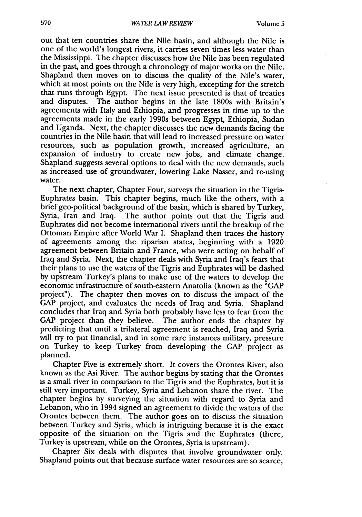out that ten countries share the Nile basin, and although the Nile is one of the world's longest rivers, it carries seven times less water than the Mississippi. The chapter discusses how the Nile has been regulated in the past, and goes through a chronology of major works on the Nile. Shapland then moves on to discuss the quality of the Nile's water, which at most points on the Nile is very high, excepting for the stretch that runs through Egypt. The next issue presented is that of treaties and disputes. The author begins in the late 1800s with Britain's agreements with Italy and Ethiopia, and progresses in time up to the agreements made in the early 1990s between Egypt, Ethiopia, Sudan and Uganda. Next, the chapter discusses the new demands facing the countries in the Nile basin that will lead to increased pressure on water resources, such as population growth, increased agriculture, an expansion of industry to create new jobs, and climate change. Shapland suggests several options to deal with the new demands, such as increased use of groundwater, lowering Lake Nasser, and re-using water.

The next chapter, Chapter Four, surveys the situation in the Tigris-Euphrates basin. This chapter begins, much like the others, with a brief geo-political background of the basin, which is shared by Turkey, Syria, Iran and Iraq. The author points out that the Tigris and Euphrates did not become international rivers until the breakup of the Ottoman Empire after World War I. Shapland then traces the history of agreements among the riparian states, beginning with a 1920 agreement between Britain and France, who were acting on behalf of Iraq and Syria. Next, the chapter deals with Syria and Iraq's fears that their plans to use the waters of the Tigris and Euphrates will be dashed by upstream Turkey's plans to make use of the waters to develop the economic infrastructure of south-eastern Anatolia (known as the "GAP project"). The chapter then moves on to discuss the impact of the **GAP** project, and evaluates the needs of Iraq and Syria. Shapland concludes that Iraq and Syria both probably have less to fear from the GAP project than they believe. The author ends the chapter by predicting that until a trilateral agreement is reached, Iraq and Syria will try to put financial, and in some rare instances military, pressure on Turkey to keep Turkey from developing the GAP project as planned.

Chapter Five is extremely short. It covers the Orontes River, also known as the Asi River. The author begins by stating that the Orontes is a small river in comparison to the Tigris and the Euphrates, but it is still very important. Turkey, Syria and Lebanon share the river. The chapter begins by surveying the situation with regard to Syria and Lebanon, who in 1994 signed an agreement to divide the waters of the Orontes between them. The author goes on to discuss the situation between Turkey and Syria, which is intriguing because it is the exact opposite of the situation on the Tigris and the Euphrates (there, Turkey is upstream, while on the Orontes, Syria is upstream).

Chapter Six deals with disputes that involve groundwater only. Shapland points out that because surface water resources are so scarce,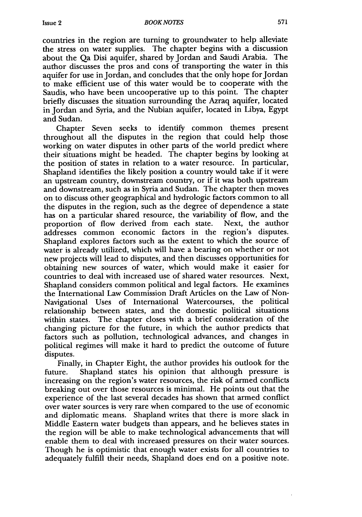countries in the region are turning to groundwater to help alleviate the stress on water supplies. The chapter begins with a discussion about the Qa Disi aquifer, shared by Jordan and Saudi Arabia. The author discusses the pros and cons of transporting the water in this aquifer for use in Jordan, and concludes that the only hope for Jordan to make efficient use of this water would be to cooperate with the Saudis, who have been uncooperative up to this point. The chapter briefly discusses the situation surrounding the Azraq aquifer, located in Jordan and Syria, and the Nubian aquifer, located in Libya, Egypt and Sudan.

Chapter Seven seeks to identify common themes present throughout all the disputes in the region that could help those working on water disputes in other parts of the world predict where their situations might be headed. The chapter begins by looking at the position of states in relation to a water resource. In particular, Shapland identifies the likely position a country would take if it were an upstream country, downstream country, or if it was both upstream and downstream, such as in Syria and Sudan. The chapter then moves on to discuss other geographical and hydrologic factors common to all the disputes in the region, such as the degree of dependence a state has on a particular shared resource, the variability of flow, and the proportion of flow derived from each state. Next, the author proportion of flow derived from each state. addresses common economic factors in the region's disputes. Shapland explores factors such as the extent to which the source of water is already utilized, which will have a bearing on whether or not new projects will lead to disputes, and then discusses opportunities for obtaining new sources of water, which would make it easier for countries to deal with increased use of shared water resources. Next, Shapland considers common political and legal factors. He examines the International Law Commission Draft Articles on the Law of Non-Navigational Uses of International Watercourses, the political relationship between states, and the domestic political situations within states. The chapter closes with a brief consideration of the changing picture for the future, in which the author predicts that factors such as pollution, technological advances, and changes in political regimes will make it hard to predict the outcome of future disputes.

Finally, in Chapter Eight, the author provides his outlook for the future. Shapland states his opinion that although pressure is increasing on the region's water resources, the risk of armed conflicts breaking out over those resources is minimal. He points out that the experience of the last several decades has shown that armed conflict over water sources is very rare when compared to the use of economic and diplomatic means. Shapland writes that there is more slack in Middle Eastern water budgets than appears, and he believes states in the region will be able to make technological advancements that will enable them to deal with increased pressures on their water sources. Though he is optimistic that enough water exists for all countries to adequately fulfill their needs, Shapland does end on a positive note.